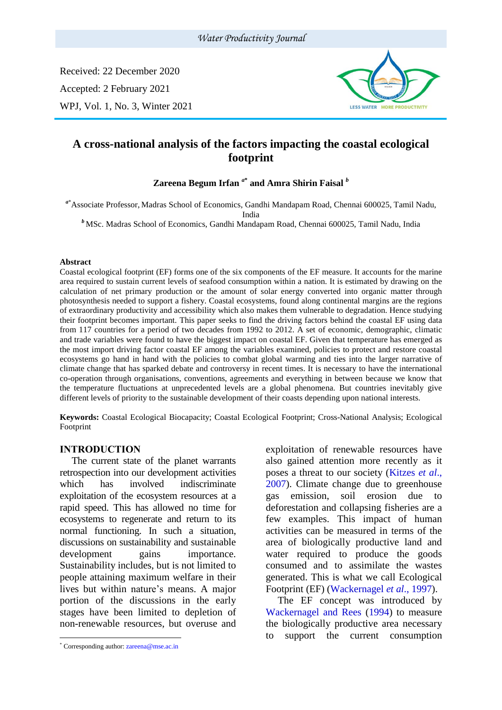#### *Water Productivity Journal*

Received: 22 December 2020 Accepted: 2 February 2021 WPJ, Vol. 1, No. 3, Winter 2021



# **A cross-national analysis of the factors impacting the coastal ecological footprint**

### **Zareena Begum Irfan** *<sup>a</sup>***\* and Amra Shirin Faisal** *<sup>b</sup>*

*<sup>a</sup>*\*Associate Professor, Madras School of Economics, Gandhi Mandapam Road, Chennai 600025, Tamil Nadu, India

*<sup>b</sup>* MSc. Madras School of Economics, Gandhi Mandapam Road, Chennai 600025, Tamil Nadu, India

#### **Abstract**

Coastal ecological footprint (EF) forms one of the six components of the EF measure. It accounts for the marine area required to sustain current levels of seafood consumption within a nation. It is estimated by drawing on the calculation of net primary production or the amount of solar energy converted into organic matter through photosynthesis needed to support a fishery. Coastal ecosystems, found along continental margins are the regions of extraordinary productivity and accessibility which also makes them vulnerable to degradation. Hence studying their footprint becomes important. This paper seeks to find the driving factors behind the coastal EF using data from 117 countries for a period of two decades from 1992 to 2012. A set of economic, demographic, climatic and trade variables were found to have the biggest impact on coastal EF. Given that temperature has emerged as the most import driving factor coastal EF among the variables examined, policies to protect and restore coastal ecosystems go hand in hand with the policies to combat global warming and ties into the larger narrative of climate change that has sparked debate and controversy in recent times. It is necessary to have the international co-operation through organisations, conventions, agreements and everything in between because we know that the temperature fluctuations at unprecedented levels are a global phenomena. But countries inevitably give different levels of priority to the sustainable development of their coasts depending upon national interests.

**Keywords:** Coastal Ecological Biocapacity; Coastal Ecological Footprint; Cross-National Analysis; Ecological Footprint

#### **INTRODUCTION<sup>1</sup>**

The current state of the planet warrants retrospection into our development activities which has involved indiscriminate exploitation of the ecosystem resources at a rapid speed. This has allowed no time for ecosystems to regenerate and return to its normal functioning. In such a situation, discussions on sustainability and sustainable development gains importance. Sustainability includes, but is not limited to people attaining maximum welfare in their lives but within nature's means. A major portion of the discussions in the early stages have been limited to depletion of non-renewable resources, but overuse and

exploitation of renewable resources have also gained attention more recently as it poses a threat to our society (Kitzes *et al*., 2007). Climate change due to greenhouse gas emission, soil erosion due to deforestation and collapsing fisheries are a few examples. This impact of human activities can be measured in terms of the area of biologically productive land and water required to produce the goods consumed and to assimilate the wastes generated. This is what we call Ecological Footprint (EF) (Wackernagel *et al*., 1997).

The EF concept was introduced by Wackernagel and Rees (1994) to measure the biologically productive area necessary to support the current consumption

<sup>\*</sup> Corresponding author: [zareena@mse.ac.in](mailto:zareena@mse.ac.in)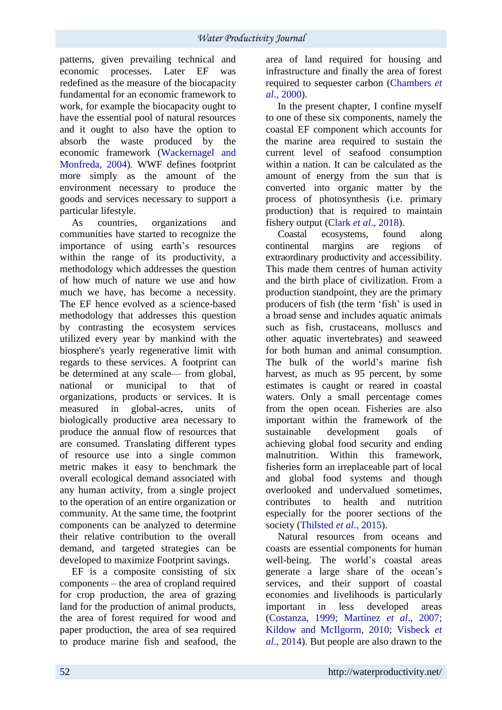patterns, given prevailing technical and economic processes. Later EF was redefined as the measure of the biocapacity fundamental for an economic framework to work, for example the biocapacity ought to have the essential pool of natural resources and it ought to also have the option to absorb the waste produced by the economic framework (Wackernagel and Monfreda, 2004). WWF defines footprint more simply as the amount of the environment necessary to produce the goods and services necessary to support a particular lifestyle.

As countries, organizations and communities have started to recognize the importance of using earth's resources within the range of its productivity, a methodology which addresses the question of how much of nature we use and how much we have, has become a necessity. The EF hence evolved as a science-based methodology that addresses this question by contrasting the ecosystem services utilized every year by mankind with the biosphere's yearly regenerative limit with regards to these services. A footprint can be determined at any scale— from global, national or municipal to that of organizations, products or services. It is measured in global-acres, units of biologically productive area necessary to produce the annual flow of resources that are consumed. Translating different types of resource use into a single common metric makes it easy to benchmark the overall ecological demand associated with any human activity, from a single project to the operation of an entire organization or community. At the same time, the footprint components can be analyzed to determine their relative contribution to the overall demand, and targeted strategies can be developed to maximize Footprint savings.

EF is a composite consisting of six components – the area of cropland required for crop production, the area of grazing land for the production of animal products, the area of forest required for wood and paper production, the area of sea required to produce marine fish and seafood, the area of land required for housing and infrastructure and finally the area of forest required to sequester carbon (Chambers *et al*., 2000).

In the present chapter, I confine myself to one of these six components, namely the coastal EF component which accounts for the marine area required to sustain the current level of seafood consumption within a nation. It can be calculated as the amount of energy from the sun that is converted into organic matter by the process of photosynthesis (i.e. primary production) that is required to maintain fishery output (Clark *et al*., 2018).

Coastal ecosystems, found along continental margins are regions of extraordinary productivity and accessibility. This made them centres of human activity and the birth place of civilization. From a production standpoint, they are the primary producers of fish (the term 'fish' is used in a broad sense and includes aquatic animals such as fish, crustaceans, molluscs and other aquatic invertebrates) and seaweed for both human and animal consumption. The bulk of the world's marine fish harvest, as much as 95 percent, by some estimates is caught or reared in coastal waters. Only a small percentage comes from the open ocean. Fisheries are also important within the framework of the sustainable development goals of achieving global food security and ending malnutrition. Within this framework, fisheries form an irreplaceable part of local and global food systems and though overlooked and undervalued sometimes, contributes to health and nutrition especially for the poorer sections of the society (Thilsted *et al*., 2015).

Natural resources from oceans and coasts are essential components for human well-being. The world's coastal areas generate a large share of the ocean's services, and their support of coastal economies and livelihoods is particularly important in less developed areas (Costanza, 1999; Martínez *et al*., 2007; Kildow and McIlgorm, 2010; Visbeck *et al*., 2014). But people are also drawn to the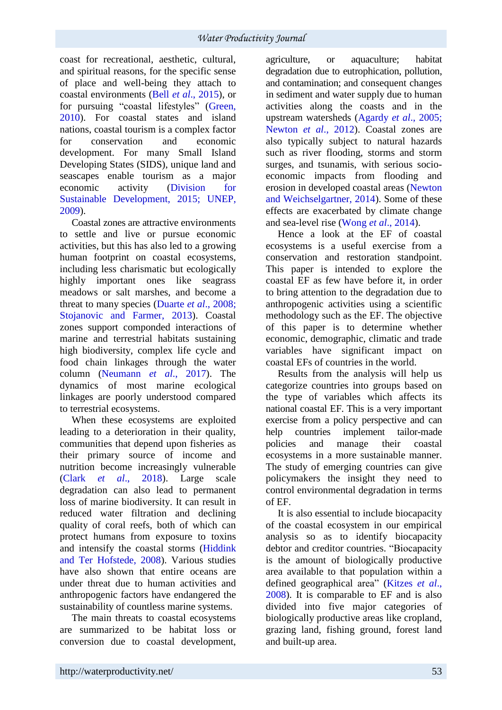coast for recreational, aesthetic, cultural, and spiritual reasons, for the specific sense of place and well-being they attach to coastal environments (Bell *et al*., 2015), or for pursuing "coastal lifestyles" (Green, 2010). For coastal states and island nations, coastal tourism is a complex factor for conservation and economic development. For many Small Island Developing States (SIDS), unique land and seascapes enable tourism as a major economic activity (Division for Sustainable Development, 2015; UNEP, 2009).

Coastal zones are attractive environments to settle and live or pursue economic activities, but this has also led to a growing human footprint on coastal ecosystems, including less charismatic but ecologically highly important ones like seagrass meadows or salt marshes, and become a threat to many species (Duarte *et al*., 2008; Stojanovic and Farmer, 2013). Coastal zones support componded interactions of marine and terrestrial habitats sustaining high biodiversity, complex life cycle and food chain linkages through the water column (Neumann *et al*., 2017). The dynamics of most marine ecological linkages are poorly understood compared to terrestrial ecosystems.

When these ecosystems are exploited leading to a deterioration in their quality, communities that depend upon fisheries as their primary source of income and nutrition become increasingly vulnerable (Clark *et al*., 2018). Large scale degradation can also lead to permanent loss of marine biodiversity. It can result in reduced water filtration and declining quality of coral reefs, both of which can protect humans from exposure to toxins and intensify the coastal storms (Hiddink and Ter Hofstede, 2008). Various studies have also shown that entire oceans are under threat due to human activities and anthropogenic factors have endangered the sustainability of countless marine systems.

The main threats to coastal ecosystems are summarized to be habitat loss or conversion due to coastal development, agriculture, or aquaculture; habitat degradation due to eutrophication, pollution, and contamination; and consequent changes in sediment and water supply due to human activities along the coasts and in the upstream watersheds (Agardy *et al*., 2005; Newton *et al*., 2012). Coastal zones are also typically subject to natural hazards such as river flooding, storms and storm surges, and tsunamis, with serious socioeconomic impacts from flooding and erosion in developed coastal areas (Newton and Weichselgartner, 2014). Some of these effects are exacerbated by climate change and sea-level rise (Wong *et al*., 2014).

Hence a look at the EF of coastal ecosystems is a useful exercise from a conservation and restoration standpoint. This paper is intended to explore the coastal EF as few have before it, in order to bring attention to the degradation due to anthropogenic activities using a scientific methodology such as the EF. The objective of this paper is to determine whether economic, demographic, climatic and trade variables have significant impact on coastal EFs of countries in the world.

Results from the analysis will help us categorize countries into groups based on the type of variables which affects its national coastal EF. This is a very important exercise from a policy perspective and can help countries implement tailor-made policies and manage their coastal ecosystems in a more sustainable manner. The study of emerging countries can give policymakers the insight they need to control environmental degradation in terms of EF.

It is also essential to include biocapacity of the coastal ecosystem in our empirical analysis so as to identify biocapacity debtor and creditor countries. "Biocapacity is the amount of biologically productive area available to that population within a defined geographical area" (Kitzes *et al*., 2008). It is comparable to EF and is also divided into five major categories of biologically productive areas like cropland, grazing land, fishing ground, forest land and built-up area.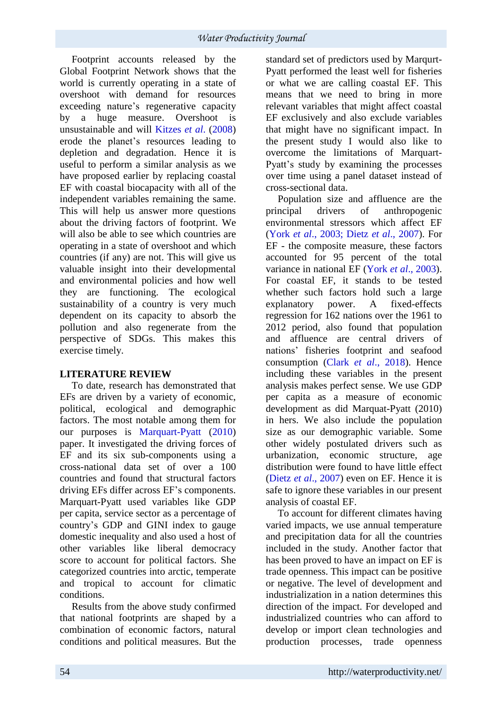Footprint accounts released by the Global Footprint Network shows that the world is currently operating in a state of overshoot with demand for resources exceeding nature's regenerative capacity by a huge measure. Overshoot is unsustainable and will Kitzes *et al*. (2008) erode the planet's resources leading to depletion and degradation. Hence it is useful to perform a similar analysis as we have proposed earlier by replacing coastal EF with coastal biocapacity with all of the independent variables remaining the same. This will help us answer more questions about the driving factors of footprint. We will also be able to see which countries are operating in a state of overshoot and which countries (if any) are not. This will give us valuable insight into their developmental and environmental policies and how well they are functioning. The ecological sustainability of a country is very much dependent on its capacity to absorb the pollution and also regenerate from the perspective of SDGs. This makes this exercise timely.

### **LITERATURE REVIEW**

To date, research has demonstrated that EFs are driven by a variety of economic, political, ecological and demographic factors. The most notable among them for our purposes is Marquart-Pyatt (2010) paper. It investigated the driving forces of EF and its six sub-components using a cross-national data set of over a 100 countries and found that structural factors driving EFs differ across EF's components. Marquart-Pyatt used variables like GDP per capita, service sector as a percentage of country's GDP and GINI index to gauge domestic inequality and also used a host of other variables like liberal democracy score to account for political factors. She categorized countries into arctic, temperate and tropical to account for climatic conditions.

Results from the above study confirmed that national footprints are shaped by a combination of economic factors, natural conditions and political measures. But the

standard set of predictors used by Marqurt-Pyatt performed the least well for fisheries or what we are calling coastal EF. This means that we need to bring in more relevant variables that might affect coastal EF exclusively and also exclude variables that might have no significant impact. In the present study I would also like to overcome the limitations of Marquart-Pyatt's study by examining the processes over time using a panel dataset instead of cross-sectional data.

Population size and affluence are the principal drivers of anthropogenic environmental stressors which affect EF (York *et al*., 2003; Dietz *et al*., 2007). For EF - the composite measure, these factors accounted for 95 percent of the total variance in national EF (York *et al*., 2003). For coastal EF, it stands to be tested whether such factors hold such a large explanatory power. A fixed-effects regression for 162 nations over the 1961 to 2012 period, also found that population and affluence are central drivers of nations' fisheries footprint and seafood consumption (Clark *et al*., 2018). Hence including these variables in the present analysis makes perfect sense. We use GDP per capita as a measure of economic development as did Marquat-Pyatt (2010) in hers. We also include the population size as our demographic variable. Some other widely postulated drivers such as urbanization, economic structure, age distribution were found to have little effect (Dietz *et al*., 2007) even on EF. Hence it is safe to ignore these variables in our present analysis of coastal EF.

To account for different climates having varied impacts, we use annual temperature and precipitation data for all the countries included in the study. Another factor that has been proved to have an impact on EF is trade openness. This impact can be positive or negative. The level of development and industrialization in a nation determines this direction of the impact. For developed and industrialized countries who can afford to develop or import clean technologies and production processes, trade openness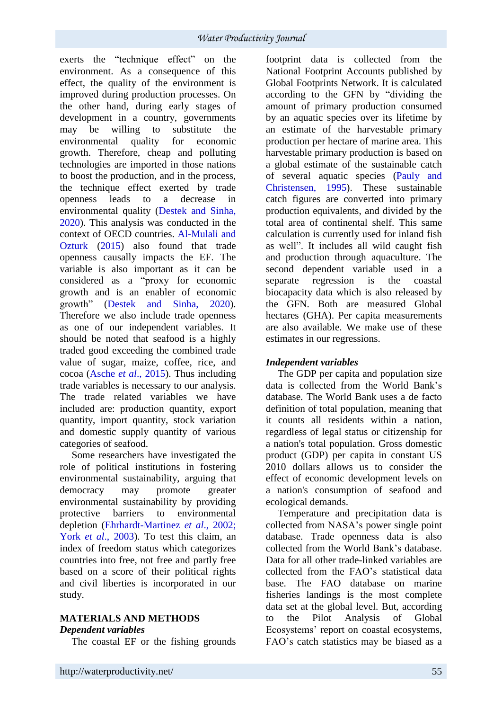exerts the "technique effect" on the environment. As a consequence of this effect, the quality of the environment is improved during production processes. On the other hand, during early stages of development in a country, governments may be willing to substitute the environmental quality for economic growth. Therefore, cheap and polluting technologies are imported in those nations to boost the production, and in the process, the technique effect exerted by trade openness leads to a decrease in environmental quality (Destek and Sinha, 2020). This analysis was conducted in the context of OECD countries. Al-Mulali and Ozturk (2015) also found that trade openness causally impacts the EF. The variable is also important as it can be considered as a "proxy for economic growth and is an enabler of economic growth" (Destek and Sinha, 2020). Therefore we also include trade openness as one of our independent variables. It should be noted that seafood is a highly traded good exceeding the combined trade value of sugar, maize, coffee, rice, and cocoa (Asche *et al*., 2015). Thus including trade variables is necessary to our analysis. The trade related variables we have included are: production quantity, export quantity, import quantity, stock variation and domestic supply quantity of various categories of seafood.

Some researchers have investigated the role of political institutions in fostering environmental sustainability, arguing that democracy may promote greater environmental sustainability by providing protective barriers to environmental depletion (Ehrhardt-Martinez *et al*., 2002; York *et al.*, 2003). To test this claim, an index of freedom status which categorizes countries into free, not free and partly free based on a score of their political rights and civil liberties is incorporated in our study.

# **MATERIALS AND METHODS**

### *Dependent variables*

The coastal EF or the fishing grounds

footprint data is collected from the National Footprint Accounts published by Global Footprints Network. It is calculated according to the GFN by "dividing the amount of primary production consumed by an aquatic species over its lifetime by an estimate of the harvestable primary production per hectare of marine area. This harvestable primary production is based on a global estimate of the sustainable catch of several aquatic species (Pauly and Christensen, 1995). These sustainable catch figures are converted into primary production equivalents, and divided by the total area of continental shelf. This same calculation is currently used for inland fish as well". It includes all wild caught fish and production through aquaculture. The second dependent variable used in a separate regression is the coastal biocapacity data which is also released by the GFN. Both are measured Global hectares (GHA). Per capita measurements are also available. We make use of these estimates in our regressions.

# *Independent variables*

The GDP per capita and population size data is collected from the World Bank's database. The World Bank uses a de facto definition of total population, meaning that it counts all residents within a nation, regardless of legal status or citizenship for a nation's total population. Gross domestic product (GDP) per capita in constant US 2010 dollars allows us to consider the effect of economic development levels on a nation's consumption of seafood and ecological demands.

Temperature and precipitation data is collected from NASA's power single point database. Trade openness data is also collected from the World Bank's database. Data for all other trade-linked variables are collected from the FAO's statistical data base. The FAO database on marine fisheries landings is the most complete data set at the global level. But, according to the Pilot Analysis of Global Ecosystems' report on coastal ecosystems, FAO's catch statistics may be biased as a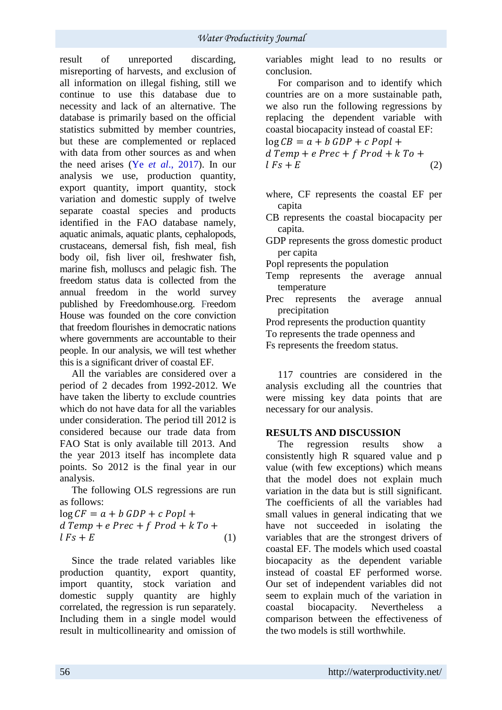result of unreported discarding, misreporting of harvests, and exclusion of all information on illegal fishing, still we continue to use this database due to necessity and lack of an alternative. The database is primarily based on the official statistics submitted by member countries, but these are complemented or replaced with data from other sources as and when the need arises (Ye *et al*., 2017). In our analysis we use, production quantity, export quantity, import quantity, stock variation and domestic supply of twelve separate coastal species and products identified in the FAO database namely, aquatic animals, aquatic plants, cephalopods, crustaceans, demersal fish, fish meal, fish body oil, fish liver oil, freshwater fish, marine fish, molluscs and pelagic fish. The freedom status data is collected from the annual freedom in the world survey published by Freedomhouse.org. Freedom House was founded on the core conviction that freedom flourishes in democratic nations where governments are accountable to their people. In our analysis, we will test whether this is a significant driver of coastal EF.

All the variables are considered over a period of 2 decades from 1992-2012. We have taken the liberty to exclude countries which do not have data for all the variables under consideration. The period till 2012 is considered because our trade data from FAO Stat is only available till 2013. And the year 2013 itself has incomplete data points. So 2012 is the final year in our analysis.

The following OLS regressions are run as follows:

 $\log CF = a + b \; GDP + c \; Popl +$  $dTemp + e Prec + f Prod + k To +$  $lFs + E$  (1)

Since the trade related variables like production quantity, export quantity, import quantity, stock variation and domestic supply quantity are highly correlated, the regression is run separately. Including them in a single model would result in multicollinearity and omission of variables might lead to no results or conclusion.

For comparison and to identify which countries are on a more sustainable path, we also run the following regressions by replacing the dependent variable with coastal biocapacity instead of coastal EF:

 $\log CB = a + b \; GDP + c \; Popl +$  $dTemp + e Prec + f Prod + k To +$  $lFs + E$  (2)

- where, CF represents the coastal EF per capita
- CB represents the coastal biocapacity per capita.
- GDP represents the gross domestic product per capita

Popl represents the population

- Temp represents the average annual temperature
- Prec represents the average annual precipitation
- Prod represents the production quantity
- To represents the trade openness and
- Fs represents the freedom status.

117 countries are considered in the analysis excluding all the countries that were missing key data points that are necessary for our analysis.

### **RESULTS AND DISCUSSION**

The regression results show a consistently high R squared value and p value (with few exceptions) which means that the model does not explain much variation in the data but is still significant. The coefficients of all the variables had small values in general indicating that we have not succeeded in isolating the variables that are the strongest drivers of coastal EF. The models which used coastal biocapacity as the dependent variable instead of coastal EF performed worse. Our set of independent variables did not seem to explain much of the variation in coastal biocapacity. Nevertheless a comparison between the effectiveness of the two models is still worthwhile.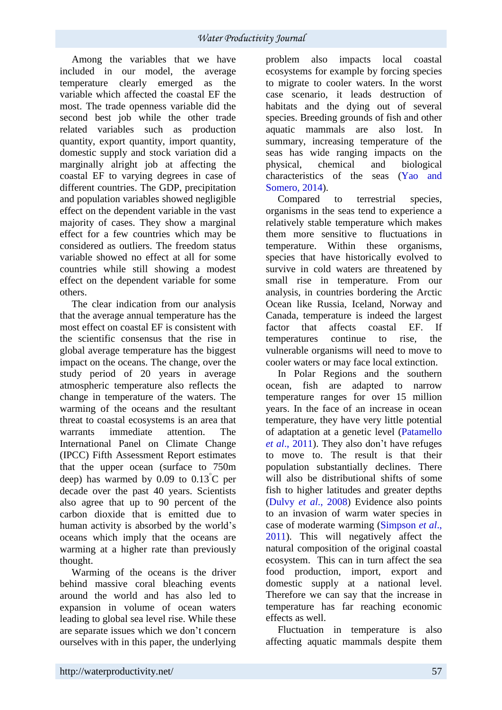Among the variables that we have included in our model, the average temperature clearly emerged as the variable which affected the coastal EF the most. The trade openness variable did the second best job while the other trade related variables such as production quantity, export quantity, import quantity, domestic supply and stock variation did a marginally alright job at affecting the coastal EF to varying degrees in case of different countries. The GDP, precipitation and population variables showed negligible effect on the dependent variable in the vast majority of cases. They show a marginal effect for a few countries which may be considered as outliers. The freedom status variable showed no effect at all for some countries while still showing a modest effect on the dependent variable for some others.

The clear indication from our analysis that the average annual temperature has the most effect on coastal EF is consistent with the scientific consensus that the rise in global average temperature has the biggest impact on the oceans. The change, over the study period of 20 years in average atmospheric temperature also reflects the change in temperature of the waters. The warming of the oceans and the resultant threat to coastal ecosystems is an area that warrants immediate attention. The International Panel on Climate Change (IPCC) Fifth Assessment Report estimates that the upper ocean (surface to 750m deep) has warmed by  $0.09$  to  $0.13^{\circ}$ C per decade over the past 40 years. Scientists also agree that up to 90 percent of the carbon dioxide that is emitted due to human activity is absorbed by the world's oceans which imply that the oceans are warming at a higher rate than previously thought.

Warming of the oceans is the driver behind massive coral bleaching events around the world and has also led to expansion in volume of ocean waters leading to global sea level rise. While these are separate issues which we don't concern ourselves with in this paper, the underlying

problem also impacts local coastal ecosystems for example by forcing species to migrate to cooler waters. In the worst case scenario, it leads destruction of habitats and the dying out of several species. Breeding grounds of fish and other aquatic mammals are also lost. In summary, increasing temperature of the seas has wide ranging impacts on the physical, chemical and biological characteristics of the seas (Yao and Somero, 2014).

Compared to terrestrial species, organisms in the seas tend to experience a relatively stable temperature which makes them more sensitive to fluctuations in temperature. Within these organisms, species that have historically evolved to survive in cold waters are threatened by small rise in temperature. From our analysis, in countries bordering the Arctic Ocean like Russia, Iceland, Norway and Canada, temperature is indeed the largest factor that affects coastal EF. If temperatures continue to rise, the vulnerable organisms will need to move to cooler waters or may face local extinction.

In Polar Regions and the southern ocean, fish are adapted to narrow temperature ranges for over 15 million years. In the face of an increase in ocean temperature, they have very little potential of adaptation at a genetic level (Patamello *et al*., 2011). They also don't have refuges to move to. The result is that their population substantially declines. There will also be distributional shifts of some fish to higher latitudes and greater depths (Dulvy *et al*., 2008) Evidence also points to an invasion of warm water species in case of moderate warming (Simpson *et al*., 2011). This will negatively affect the natural composition of the original coastal ecosystem. This can in turn affect the sea food production, import, export and domestic supply at a national level. Therefore we can say that the increase in temperature has far reaching economic effects as well.

Fluctuation in temperature is also affecting aquatic mammals despite them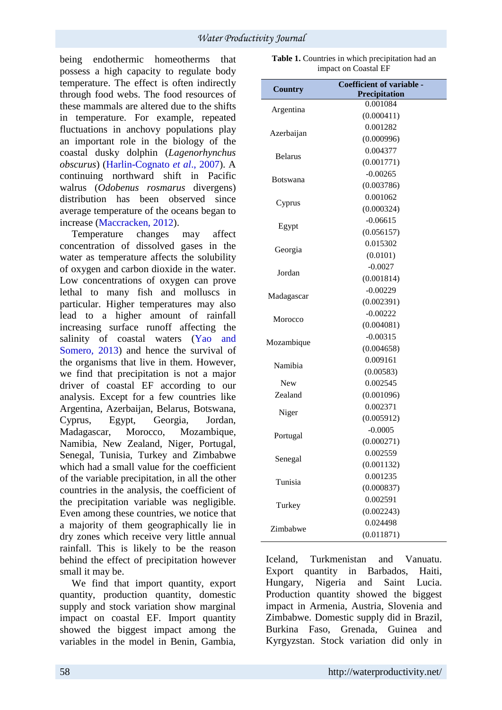being endothermic homeotherms that possess a high capacity to regulate body temperature. The effect is often indirectly through food webs. The food resources of these mammals are altered due to the shifts in temperature. For example, repeated fluctuations in anchovy populations play an important role in the biology of the coastal dusky dolphin (*Lagenorhynchus obscurus*) (Harlin-Cognato *et al*., 2007). A continuing northward shift in Pacific walrus (*Odobenus rosmarus* divergens) distribution has been observed since average temperature of the oceans began to increase (Maccracken, 2012).

Temperature changes may affect concentration of dissolved gases in the water as temperature affects the solubility of oxygen and carbon dioxide in the water. Low concentrations of oxygen can prove lethal to many fish and molluscs in particular. Higher temperatures may also lead to a higher amount of rainfall increasing surface runoff affecting the salinity of coastal waters (Yao and Somero, 2013) and hence the survival of the organisms that live in them. However, we find that precipitation is not a major driver of coastal EF according to our analysis. Except for a few countries like Argentina, Azerbaijan, Belarus, Botswana, Cyprus, Egypt, Georgia, Jordan, Madagascar, Morocco, Mozambique, Namibia, New Zealand, Niger, Portugal, Senegal, Tunisia, Turkey and Zimbabwe which had a small value for the coefficient of the variable precipitation, in all the other countries in the analysis, the coefficient of the precipitation variable was negligible. Even among these countries, we notice that a majority of them geographically lie in dry zones which receive very little annual rainfall. This is likely to be the reason behind the effect of precipitation however small it may be.

We find that import quantity, export quantity, production quantity, domestic supply and stock variation show marginal impact on coastal EF. Import quantity showed the biggest impact among the variables in the model in Benin, Gambia,

| <b>Country</b>  | Coefficient of variable - |
|-----------------|---------------------------|
|                 | Precipitation             |
| Argentina       | 0.001084                  |
|                 | (0.000411)                |
| Azerbaijan      | 0.001282                  |
|                 | (0.000996)                |
| <b>Belarus</b>  | 0.004377                  |
|                 | (0.001771)                |
| <b>Botswana</b> | $-0.00265$                |
|                 | (0.003786)                |
|                 | 0.001062                  |
| Cyprus          | (0.000324)                |
|                 | $-0.06615$                |
| Egypt           | (0.056157)                |
|                 | 0.015302                  |
| Georgia         | (0.0101)                  |
|                 | $-0.0027$                 |
| Jordan          | (0.001814)                |
|                 | $-0.00229$                |
| Madagascar      | (0.002391)                |
|                 | $-0.00222$                |
| Morocco         | (0.004081)                |
|                 | $-0.00315$                |
| Mozambique      | (0.004658)                |
|                 | 0.009161                  |
| Namibia         | (0.00583)                 |
| <b>New</b>      | 0.002545                  |
| Zealand         | (0.001096)                |
|                 | 0.002371                  |
| Niger           | (0.005912)                |
|                 | $-0.0005$                 |
| Portugal        | (0.000271)                |
|                 | 0.002559                  |
| Senegal         | (0.001132)                |
|                 | 0.001235                  |
| Tunisia         | (0.000837)                |
|                 | 0.002591                  |
| Turkey          | (0.002243)                |
|                 | 0.024498                  |
| Zimbabwe        | (0.011871)                |
|                 |                           |

Iceland, Turkmenistan and Vanuatu. Export quantity in Barbados, Haiti, Hungary, Nigeria and Saint Lucia. Production quantity showed the biggest impact in Armenia, Austria, Slovenia and Zimbabwe. Domestic supply did in Brazil, Burkina Faso, Grenada, Guinea and Kyrgyzstan. Stock variation did only in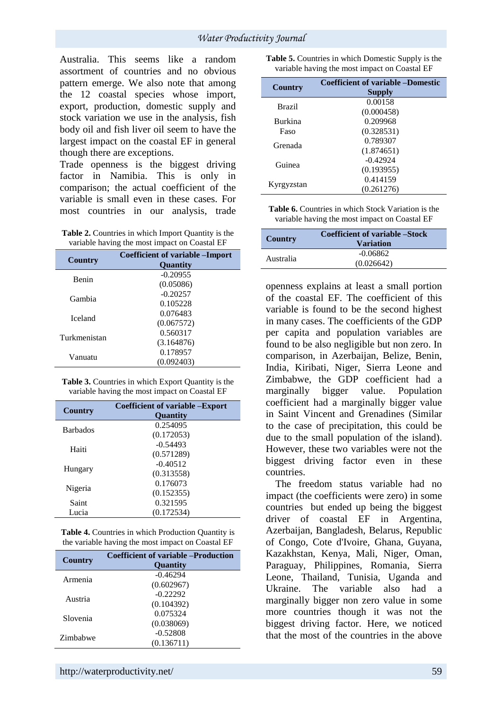Australia. This seems like a random assortment of countries and no obvious pattern emerge. We also note that among the 12 coastal species whose import, export, production, domestic supply and stock variation we use in the analysis, fish body oil and fish liver oil seem to have the largest impact on the coastal EF in general though there are exceptions.

Trade openness is the biggest driving factor in Namibia. This is only in comparison; the actual coefficient of the variable is small even in these cases. For most countries in our analysis, trade

| Table 2. Countries in which Import Quantity is the |
|----------------------------------------------------|
| variable having the most impact on Coastal EF      |

| Country        | <b>Coefficient of variable – Import</b><br>Quantity |
|----------------|-----------------------------------------------------|
| <b>Benin</b>   | $-0.20955$                                          |
|                | (0.05086)                                           |
| Gambia         | $-0.20257$                                          |
|                | 0.105228                                            |
| <b>Iceland</b> | 0.076483                                            |
|                | (0.067572)                                          |
| Turkmenistan   | 0.560317                                            |
|                | (3.164876)                                          |
| Vanuatu        | 0.178957                                            |
|                | (0.092403)                                          |

**Table 3.** Countries in which Export Quantity is the variable having the most impact on Coastal EF

| Country         | <b>Coefficient of variable – Export</b><br><b>Quantity</b> |
|-----------------|------------------------------------------------------------|
|                 |                                                            |
| <b>Barbados</b> | 0.254095                                                   |
|                 | (0.172053)                                                 |
| Haiti           | $-0.54493$                                                 |
|                 | (0.571289)                                                 |
| Hungary         | $-0.40512$                                                 |
|                 | (0.313558)                                                 |
| Nigeria         | 0.176073                                                   |
|                 | (0.152355)                                                 |
| Saint           | 0.321595                                                   |
| Lucia           | (0.172534)                                                 |

**Table 4.** Countries in which Production Quantity is the variable having the most impact on Coastal EF

| <b>Country</b> | <b>Coefficient of variable –Production</b><br><b>Ouantity</b> |
|----------------|---------------------------------------------------------------|
| Armenia        | $-0.46294$                                                    |
|                | (0.602967)                                                    |
| Austria        | $-0.22292$                                                    |
|                | (0.104392)                                                    |
| Slovenia       | 0.075324                                                      |
|                | (0.038069)                                                    |
| Zimbabwe       | $-0.52808$                                                    |
|                | (0.136711)                                                    |

**Table 5.** Countries in which Domestic Supply is the variable having the most impact on Coastal EF

| <b>Country</b> | <b>Coefficient of variable -Domestic</b> |
|----------------|------------------------------------------|
|                | <b>Supply</b>                            |
| <b>Brazil</b>  | 0.00158                                  |
|                | (0.000458)                               |
| Burkina        | 0.209968                                 |
| Faso           | (0.328531)                               |
| Grenada        | 0.789307                                 |
|                | (1.874651)                               |
| Guinea         | $-0.42924$                               |
|                | (0.193955)                               |
| Kyrgyzstan     | 0.414159                                 |
|                | (0.261276)                               |

| <b>Table 6.</b> Countries in which Stock Variation is the |  |
|-----------------------------------------------------------|--|
| variable having the most impact on Coastal EF             |  |

| Country   | Coefficient of variable – Stock<br><b>Variation</b> |
|-----------|-----------------------------------------------------|
| Australia | $-0.06862$                                          |
|           | (0.026642)                                          |

openness explains at least a small portion of the coastal EF. The coefficient of this variable is found to be the second highest in many cases. The coefficients of the GDP per capita and population variables are found to be also negligible but non zero. In comparison, in Azerbaijan, Belize, Benin, India, Kiribati, Niger, Sierra Leone and Zimbabwe, the GDP coefficient had a marginally bigger value. Population coefficient had a marginally bigger value in Saint Vincent and Grenadines (Similar to the case of precipitation, this could be due to the small population of the island). However, these two variables were not the biggest driving factor even in these countries.

The freedom status variable had no impact (the coefficients were zero) in some countries but ended up being the biggest driver of coastal EF in Argentina, Azerbaijan, Bangladesh, Belarus, Republic of Congo, Cote d'Ivoire, Ghana, Guyana, Kazakhstan, Kenya, Mali, Niger, Oman, Paraguay, Philippines, Romania, Sierra Leone, Thailand, Tunisia, Uganda and Ukraine. The variable also had a marginally bigger non zero value in some more countries though it was not the biggest driving factor. Here, we noticed that the most of the countries in the above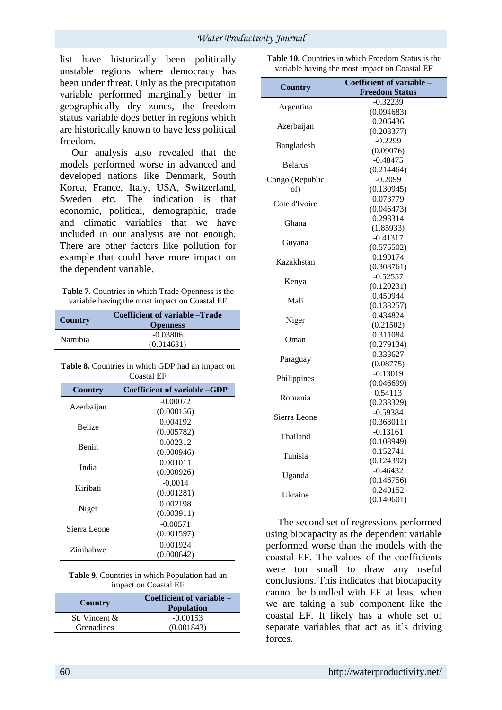list have historically been politically unstable regions where democracy has been under threat. Only as the precipitation variable performed marginally better in geographically dry zones, the freedom status variable does better in regions which are historically known to have less political freedom.

Our analysis also revealed that the models performed worse in advanced and developed nations like Denmark, South Korea, France, Italy, USA, Switzerland, Sweden etc. The indication is that economic, political, demographic, trade and climatic variables that we have included in our analysis are not enough. There are other factors like pollution for example that could have more impact on the dependent variable.

| Table 7. Countries in which Trade Openness is the |
|---------------------------------------------------|
| variable having the most impact on Coastal EF     |

| Country        | Coefficient of variable – Trade<br><b>Openness</b> |
|----------------|----------------------------------------------------|
| <b>Namibia</b> | $-0.03806$<br>(0.014631)                           |

**Table 8.** Countries in which GDP had an impact on Coastal EF

| <b>Country</b> | Coefficient of variable – GDP |
|----------------|-------------------------------|
|                | $-0.00072$                    |
| Azerbaijan     | (0.000156)                    |
| <b>Belize</b>  | 0.004192                      |
|                | (0.005782)                    |
| <b>Benin</b>   | 0.002312                      |
|                | (0.000946)                    |
| India          | 0.001011                      |
|                | (0.000926)                    |
| Kiribati       | $-0.0014$                     |
|                | (0.001281)                    |
|                | 0.002198                      |
| Niger          | (0.003911)                    |
|                | $-0.00571$                    |
| Sierra Leone   | (0.001597)                    |
| Zimbabwe       | 0.001924                      |
|                | (0.000642)                    |

| <b>Table 9.</b> Countries in which Population had an |  |
|------------------------------------------------------|--|
| impact on Coastal EF                                 |  |

| Country       | Coefficient of variable –<br><b>Population</b> |
|---------------|------------------------------------------------|
| St. Vincent & | $-0.00153$                                     |
| Grenadines    | (0.001843)                                     |

**Table 10.** Countries in which Freedom Status is the variable having the most impact on Coastal EF

| <b>Country</b>  | Coefficient of variable - |
|-----------------|---------------------------|
|                 | <b>Freedom Status</b>     |
| Argentina       | $-0.32239$                |
|                 | (0.094683)                |
| Azerbaijan      | 0.206436                  |
|                 | (0.208377)                |
| Bangladesh      | $-0.2299$                 |
|                 | (0.09076)                 |
| <b>Belarus</b>  | $-0.48475$                |
|                 | (0.214464)                |
| Congo (Republic | $-0.2099$                 |
| of)             | (0.130945)                |
| Cote d'Ivoire   | 0.073779                  |
|                 | (0.046473)                |
| Ghana           | 0.293314                  |
|                 | (1.85933)                 |
| Guyana          | $-0.41317$                |
|                 | (0.576502)                |
| Kazakhstan      | 0.190174                  |
|                 | (0.308761)                |
| Kenya           | $-0.52557$                |
|                 | (0.120231)                |
| Mali            | 0.450944                  |
|                 | (0.138257)                |
| Niger           | 0.434824                  |
|                 | (0.21502)                 |
| Oman            | 0.311084                  |
|                 | (0.279134)                |
| Paraguay        | 0.333627                  |
|                 | (0.08775)                 |
| Philippines     | $-0.13019$                |
|                 | (0.046699)                |
| Romania         | 0.54113                   |
|                 | (0.238329)                |
| Sierra Leone    | $-0.59384$                |
|                 | (0.368011)                |
| Thailand        | $-0.13161$                |
|                 | (0.108949)                |
| Tunisia         | 0.152741                  |
|                 | (0.124392)                |
| Uganda          | $-0.46432$                |
|                 | (0.146756)                |
| Ukraine         | 0.240152                  |
|                 | (0.140601)                |

The second set of regressions performed using biocapacity as the dependent variable performed worse than the models with the coastal EF. The values of the coefficients were too small to draw any useful conclusions. This indicates that biocapacity cannot be bundled with EF at least when we are taking a sub component like the coastal EF. It likely has a whole set of separate variables that act as it's driving forces.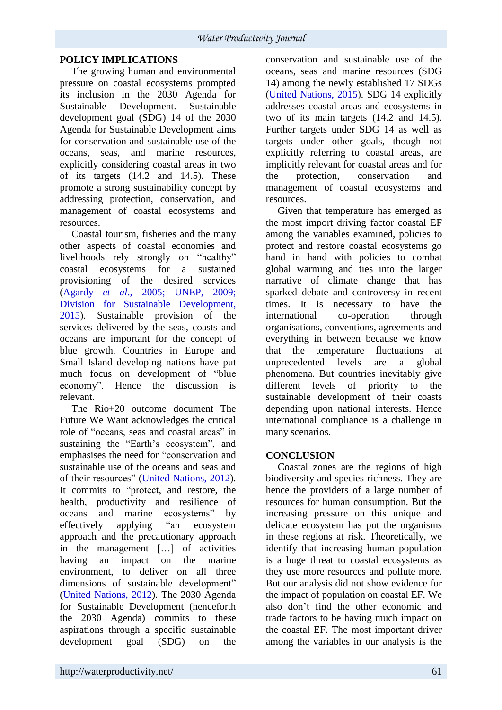## **POLICY IMPLICATIONS**

The growing human and environmental pressure on coastal ecosystems prompted its inclusion in the 2030 Agenda for<br>Sustainable Development. Sustainable Sustainable Development. development goal (SDG) 14 of the 2030 Agenda for Sustainable Development aims for conservation and sustainable use of the oceans, seas, and marine resources, explicitly considering coastal areas in two of its targets (14.2 and 14.5). These promote a strong sustainability concept by addressing protection, conservation, and management of coastal ecosystems and resources.

Coastal tourism, fisheries and the many other aspects of coastal economies and livelihoods rely strongly on "healthy" coastal ecosystems for a sustained provisioning of the desired services (Agardy *et al*., 2005; UNEP, 2009; Division for Sustainable Development, 2015). Sustainable provision of the services delivered by the seas, coasts and oceans are important for the concept of blue growth. Countries in Europe and Small Island developing nations have put much focus on development of "blue economy". Hence the discussion is relevant.

The Rio+20 outcome document The Future We Want acknowledges the critical role of "oceans, seas and coastal areas" in sustaining the "Earth's ecosystem", and emphasises the need for "conservation and sustainable use of the oceans and seas and of their resources" (United Nations, 2012). It commits to "protect, and restore, the health, productivity and resilience of oceans and marine ecosystems" by effectively applying "an ecosystem approach and the precautionary approach in the management […] of activities having an impact on the marine environment, to deliver on all three dimensions of sustainable development" (United Nations, 2012). The 2030 Agenda for Sustainable Development (henceforth the 2030 Agenda) commits to these aspirations through a specific sustainable development goal (SDG) on the conservation and sustainable use of the oceans, seas and marine resources (SDG 14) among the newly established 17 SDGs (United Nations, 2015). SDG 14 explicitly addresses coastal areas and ecosystems in two of its main targets (14.2 and 14.5). Further targets under SDG 14 as well as targets under other goals, though not explicitly referring to coastal areas, are implicitly relevant for coastal areas and for the protection, conservation and management of coastal ecosystems and resources.

Given that temperature has emerged as the most import driving factor coastal EF among the variables examined, policies to protect and restore coastal ecosystems go hand in hand with policies to combat global warming and ties into the larger narrative of climate change that has sparked debate and controversy in recent times. It is necessary to have the international co-operation through organisations, conventions, agreements and everything in between because we know that the temperature fluctuations at unprecedented levels are a global phenomena. But countries inevitably give different levels of priority to the sustainable development of their coasts depending upon national interests. Hence international compliance is a challenge in many scenarios.

### **CONCLUSION**

Coastal zones are the regions of high biodiversity and species richness. They are hence the providers of a large number of resources for human consumption. But the increasing pressure on this unique and delicate ecosystem has put the organisms in these regions at risk. Theoretically, we identify that increasing human population is a huge threat to coastal ecosystems as they use more resources and pollute more. But our analysis did not show evidence for the impact of population on coastal EF. We also don't find the other economic and trade factors to be having much impact on the coastal EF. The most important driver among the variables in our analysis is the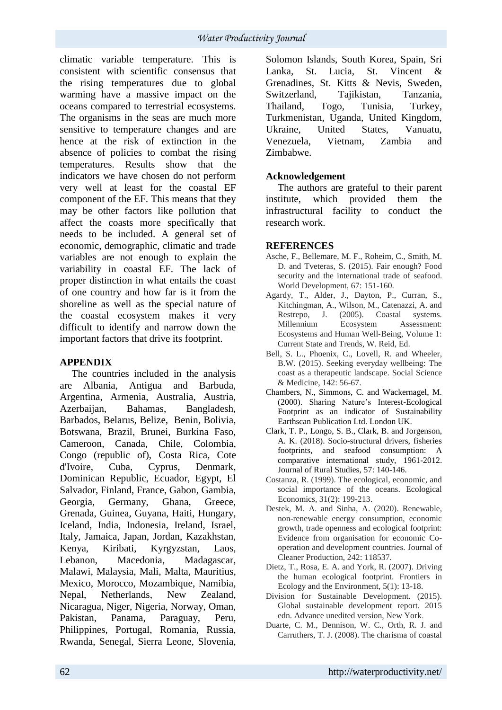climatic variable temperature. This is consistent with scientific consensus that the rising temperatures due to global warming have a massive impact on the oceans compared to terrestrial ecosystems. The organisms in the seas are much more sensitive to temperature changes and are hence at the risk of extinction in the absence of policies to combat the rising temperatures. Results show that the indicators we have chosen do not perform very well at least for the coastal EF component of the EF. This means that they may be other factors like pollution that affect the coasts more specifically that needs to be included. A general set of economic, demographic, climatic and trade variables are not enough to explain the variability in coastal EF. The lack of proper distinction in what entails the coast of one country and how far is it from the shoreline as well as the special nature of the coastal ecosystem makes it very difficult to identify and narrow down the important factors that drive its footprint.

### **APPENDIX**

The countries included in the analysis are Albania, Antigua and Barbuda, Argentina, Armenia, Australia, Austria, Azerbaijan, Bahamas, Bangladesh, Barbados, Belarus, Belize, Benin, Bolivia, Botswana, Brazil, Brunei, Burkina Faso, Cameroon, Canada, Chile, Colombia, Congo (republic of), Costa Rica, Cote d'Ivoire, Cuba, Cyprus, Denmark, Dominican Republic, Ecuador, Egypt, El Salvador, Finland, France, Gabon, Gambia, Georgia, Germany, Ghana, Greece, Grenada, Guinea, Guyana, Haiti, Hungary, Iceland, India, Indonesia, Ireland, Israel, Italy, Jamaica, Japan, Jordan, Kazakhstan, Kenya, Kiribati, Kyrgyzstan, Laos, Lebanon, Macedonia, Madagascar, Malawi, Malaysia, Mali, Malta, Mauritius, Mexico, Morocco, Mozambique, Namibia, Nepal, Netherlands, New Zealand, Nicaragua, Niger, Nigeria, Norway, Oman, Pakistan, Panama, Paraguay, Peru, Philippines, Portugal, Romania, Russia, Rwanda, Senegal, Sierra Leone, Slovenia, Solomon Islands, South Korea, Spain, Sri Lanka, St. Lucia, St. Vincent & Grenadines, St. Kitts & Nevis, Sweden, Switzerland, Tajikistan, Tanzania, Thailand, Togo, Tunisia, Turkey, Turkmenistan, Uganda, United Kingdom, Ukraine, United States, Vanuatu, Venezuela, Vietnam, Zambia and Zimbabwe.

## **Acknowledgement**

The authors are grateful to their parent institute, which provided them the infrastructural facility to conduct the research work.

### **REFERENCES**

- Asche, F., Bellemare, M. F., Roheim, C., Smith, M. D. and Tveteras, S. (2015). Fair enough? Food security and the international trade of seafood. World Development, 67: 151-160.
- Agardy, T., Alder, J., Dayton, P., Curran, S., Kitchingman, A., Wilson, M., Catenazzi, A. and Restrepo, J. (2005). Coastal systems. Millennium Ecosystem Assessment: Ecosystems and Human Well‐Being, Volume 1: Current State and Trends, W. Reid, Ed.
- Bell, S. L., Phoenix, C., Lovell, R. and Wheeler, B.W. (2015). Seeking everyday wellbeing: The coast as a therapeutic landscape. Social Science & Medicine, 142: 56-67.
- Chambers, N., Simmons, C. and Wackernagel, M. (2000). Sharing Nature's Interest-Ecological Footprint as an indicator of Sustainability Earthscan Publication Ltd. London UK.
- Clark, T. P., Longo, S. B., Clark, B. and Jorgenson, A. K. (2018). Socio-structural drivers, fisheries footprints, and seafood consumption: A comparative international study, 1961-2012. Journal of Rural Studies, 57: 140-146.
- Costanza, R. (1999). The ecological, economic, and social importance of the oceans. Ecological Economics, 31(2): 199-213.
- Destek, M. A. and Sinha, A. (2020). Renewable, non-renewable energy consumption, economic growth, trade openness and ecological footprint: Evidence from organisation for economic Cooperation and development countries. Journal of Cleaner Production, 242: 118537.
- Dietz, T., Rosa, E. A. and York, R. (2007). Driving the human ecological footprint. Frontiers in Ecology and the Environment, 5(1): 13-18.
- Division for Sustainable Development. (2015). Global sustainable development report. 2015 edn. Advance unedited version, New York.
- Duarte, C. M., Dennison, W. C., Orth, R. J. and Carruthers, T. J. (2008). The charisma of coastal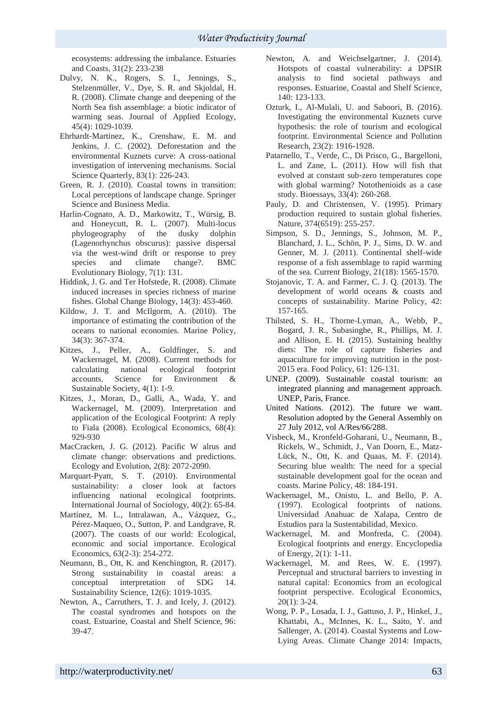ecosystems: addressing the imbalance. Estuaries and Coasts, 31(2): 233-238

- Dulvy, N. K., Rogers, S. I., Jennings, S., Stelzenmüller, V., Dye, S. R. and Skjoldal, H. R. (2008). Climate change and deepening of the North Sea fish assemblage: a biotic indicator of warming seas. Journal of Applied Ecology, 45(4): 1029-1039.
- Ehrhardt‐Martinez, K., Crenshaw, E. M. and Jenkins, J. C. (2002). Deforestation and the environmental Kuznets curve: A cross‐national investigation of intervening mechanisms. Social Science Quarterly, 83(1): 226-243.
- Green, R. J. (2010). Coastal towns in transition: Local perceptions of landscape change. Springer Science and Business Media.
- Harlin-Cognato, A. D., Markowitz, T., Würsig, B. and Honeycutt, R. L. (2007). Multi-locus phylogeography of the dusky dolphin (Lagenorhynchus obscurus): passive dispersal via the west-wind drift or response to prey species and climate change?. BMC Evolutionary Biology, 7(1): 131.
- Hiddink, J. G. and Ter Hofstede, R. (2008). Climate induced increases in species richness of marine fishes. Global Change Biology, 14(3): 453-460.
- Kildow, J. T. and McIlgorm, A. (2010). The importance of estimating the contribution of the oceans to national economies. Marine Policy, 34(3): 367-374.
- Kitzes, J., Peller, A., Goldfinger, S. and Wackernagel, M. (2008). Current methods for calculating national ecological footprint accounts. Science for Environment & Sustainable Society, 4(1): 1-9.
- Kitzes, J., Moran, D., Galli, A., Wada, Y. and Wackernagel, M. (2009). Interpretation and application of the Ecological Footprint: A reply to Fiala (2008). Ecological Economics, 68(4): 929-930
- MacCracken, J. G. (2012). Pacific W alrus and climate change: observations and predictions. Ecology and Evolution, 2(8): 2072-2090.
- Marquart-Pyatt, S. T. (2010). Environmental sustainability: a closer look at factors influencing national ecological footprints. International Journal of Sociology, 40(2): 65-84.
- Martínez, M. L., Intralawan, A., Vázquez, G., Pérez-Maqueo, O., Sutton, P. and Landgrave, R. (2007). The coasts of our world: Ecological, economic and social importance. Ecological Economics, 63(2-3): 254-272.
- Neumann, B., Ott, K. and Kenchington, R. (2017). Strong sustainability in coastal areas: a conceptual interpretation of SDG 14. Sustainability Science, 12(6): 1019-1035.
- Newton, A., Carruthers, T. J. and Icely, J. (2012). The coastal syndromes and hotspots on the coast. Estuarine, Coastal and Shelf Science, 96: 39-47.
- Newton, A. and Weichselgartner, J. (2014). Hotspots of coastal vulnerability: a DPSIR analysis to find societal pathways and responses. Estuarine, Coastal and Shelf Science, 140: 123-133.
- Ozturk, I., Al-Mulali, U. and Saboori, B. (2016). Investigating the environmental Kuznets curve hypothesis: the role of tourism and ecological footprint. Environmental Science and Pollution Research, 23(2): 1916-1928.
- Patarnello, T., Verde, C., Di Prisco, G., Bargelloni, L. and Zane, L. (2011). How will fish that evolved at constant sub‐zero temperatures cope with global warming? Notothenioids as a case study. Bioessays, 33(4): 260-268.
- Pauly, D. and Christensen, V. (1995). Primary production required to sustain global fisheries. Nature, 374(6519): 255-257.
- Simpson, S. D., Jennings, S., Johnson, M. P., Blanchard, J. L., Schön, P. J., Sims, D. W. and Genner, M. J. (2011). Continental shelf-wide response of a fish assemblage to rapid warming of the sea. Current Biology, 21(18): 1565-1570.
- Stojanovic, T. A. and Farmer, C. J. Q. (2013). The development of world oceans & coasts and concepts of sustainability. Marine Policy, 42: 157-165.
- Thilsted, S. H., Thorne-Lyman, A., Webb, P., Bogard, J. R., Subasinghe, R., Phillips, M. J. and Allison, E. H. (2015). Sustaining healthy diets: The role of capture fisheries and aquaculture for improving nutrition in the post-2015 era. Food Policy, 61: 126-131.
- UNEP. (2009). Sustainable coastal tourism: an integrated planning and management approach. UNEP, Paris, France.
- United Nations. (2012). The future we want. Resolution adopted by the General Assembly on 27 July 2012, vol A/Res/66/288.
- Visbeck, M., Kronfeld-Goharani, U., Neumann, B., Rickels, W., Schmidt, J., Van Doorn, E., Matz-Lück, N., Ott, K. and Quaas, M. F. (2014). Securing blue wealth: The need for a special sustainable development goal for the ocean and coasts. Marine Policy, 48: 184-191.
- Wackernagel, M., Onisto, L. and Bello, P. A. (1997). Ecological footprints of nations. Universidad Anahuac de Xalapa, Centro de Estudios para la Sustentabilidad, Mexico.
- Wackernagel, M. and Monfreda, C. (2004). Ecological footprints and energy. Encyclopedia of Energy, 2(1): 1-11.
- Wackernagel, M. and Rees, W. E. (1997). Perceptual and structural barriers to investing in natural capital: Economics from an ecological footprint perspective. Ecological Economics, 20(1): 3-24.
- Wong, P. P., Losada, I. J., Gattuso, J. P., Hinkel, J., Khattabi, A., McInnes, K. L., Saito, Y. and Sallenger, A. (2014). Coastal Systems and Low-Lying Areas. Climate Change 2014: Impacts,